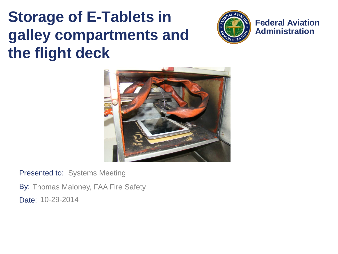#### **Storage of E-Tablets in galley compartments and the flight deck**



**Federal Aviation Administration**



Presented to: Systems Meeting

By: Thomas Maloney, FAA Fire Safety Date: 10-29-2014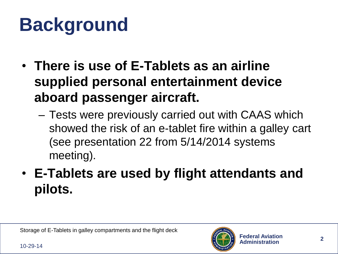# **Background**

- **There is use of E-Tablets as an airline supplied personal entertainment device aboard passenger aircraft.**
	- Tests were previously carried out with CAAS which showed the risk of an e-tablet fire within a galley cart (see presentation 22 from 5/14/2014 systems meeting).
- **E-Tablets are used by flight attendants and pilots.**

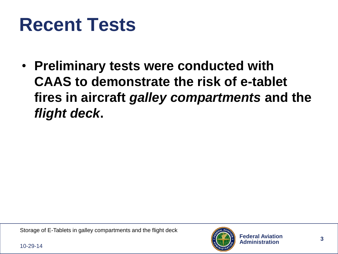## **Recent Tests**

• **Preliminary tests were conducted with CAAS to demonstrate the risk of e-tablet fires in aircraft** *galley compartments* **and the**  *flight deck***.**

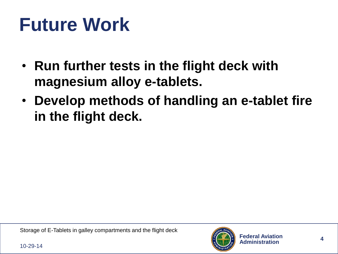# **Future Work**

- **Run further tests in the flight deck with magnesium alloy e-tablets.**
- **Develop methods of handling an e-tablet fire in the flight deck.**